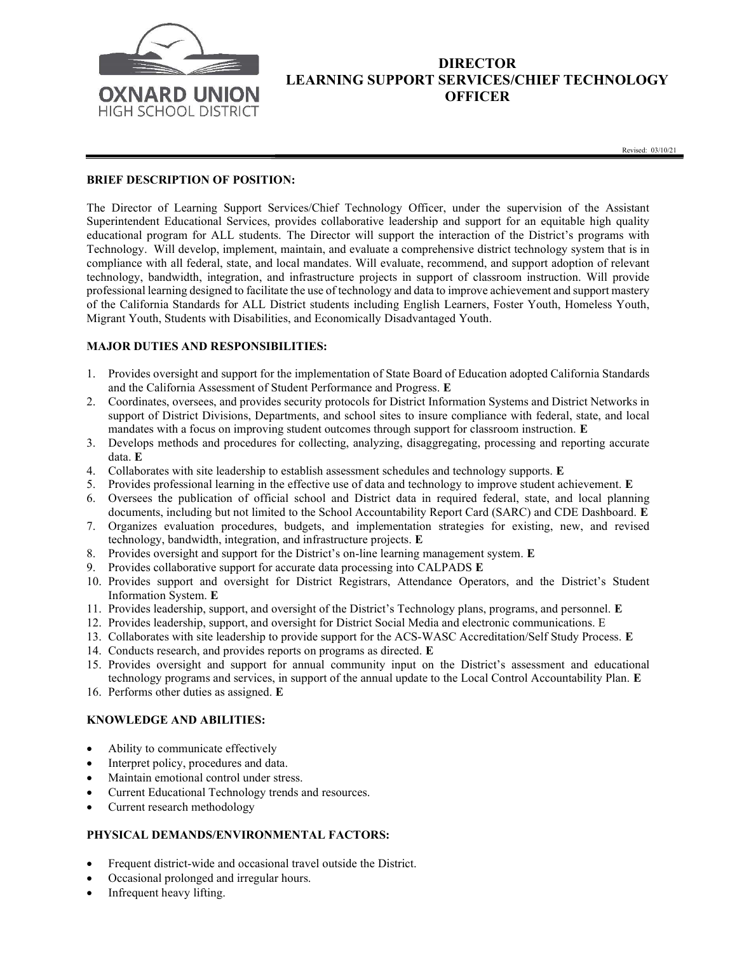

# DIRECTOR LEARNING SUPPORT SERVICES/CHIEF TECHNOLOGY **OFFICER**

Revised: 03/10/21

# BRIEF DESCRIPTION OF POSITION:

The Director of Learning Support Services/Chief Technology Officer, under the supervision of the Assistant Superintendent Educational Services, provides collaborative leadership and support for an equitable high quality educational program for ALL students. The Director will support the interaction of the District's programs with Technology. Will develop, implement, maintain, and evaluate a comprehensive district technology system that is in compliance with all federal, state, and local mandates. Will evaluate, recommend, and support adoption of relevant technology, bandwidth, integration, and infrastructure projects in support of classroom instruction. Will provide professional learning designed to facilitate the use of technology and data to improve achievement and support mastery of the California Standards for ALL District students including English Learners, Foster Youth, Homeless Youth, Migrant Youth, Students with Disabilities, and Economically Disadvantaged Youth.

### MAJOR DUTIES AND RESPONSIBILITIES:

- 1. Provides oversight and support for the implementation of State Board of Education adopted California Standards and the California Assessment of Student Performance and Progress. E
- 2. Coordinates, oversees, and provides security protocols for District Information Systems and District Networks in support of District Divisions, Departments, and school sites to insure compliance with federal, state, and local mandates with a focus on improving student outcomes through support for classroom instruction. E
- 3. Develops methods and procedures for collecting, analyzing, disaggregating, processing and reporting accurate data. E
- 4. Collaborates with site leadership to establish assessment schedules and technology supports. E
- 5. Provides professional learning in the effective use of data and technology to improve student achievement. E
- 6. Oversees the publication of official school and District data in required federal, state, and local planning documents, including but not limited to the School Accountability Report Card (SARC) and CDE Dashboard. E
- 7. Organizes evaluation procedures, budgets, and implementation strategies for existing, new, and revised technology, bandwidth, integration, and infrastructure projects. E
- 8. Provides oversight and support for the District's on-line learning management system. E
- 9. Provides collaborative support for accurate data processing into CALPADS E
- 10. Provides support and oversight for District Registrars, Attendance Operators, and the District's Student Information System. E
- 11. Provides leadership, support, and oversight of the District's Technology plans, programs, and personnel. E
- 12. Provides leadership, support, and oversight for District Social Media and electronic communications. E
- 13. Collaborates with site leadership to provide support for the ACS-WASC Accreditation/Self Study Process. E
- 14. Conducts research, and provides reports on programs as directed. E
- 15. Provides oversight and support for annual community input on the District's assessment and educational technology programs and services, in support of the annual update to the Local Control Accountability Plan. E
- 16. Performs other duties as assigned. E

#### KNOWLEDGE AND ABILITIES:

- Ability to communicate effectively
- Interpret policy, procedures and data.
- Maintain emotional control under stress.
- Current Educational Technology trends and resources.
- Current research methodology

# PHYSICAL DEMANDS/ENVIRONMENTAL FACTORS:

- Frequent district-wide and occasional travel outside the District.
- Occasional prolonged and irregular hours.
- Infrequent heavy lifting.